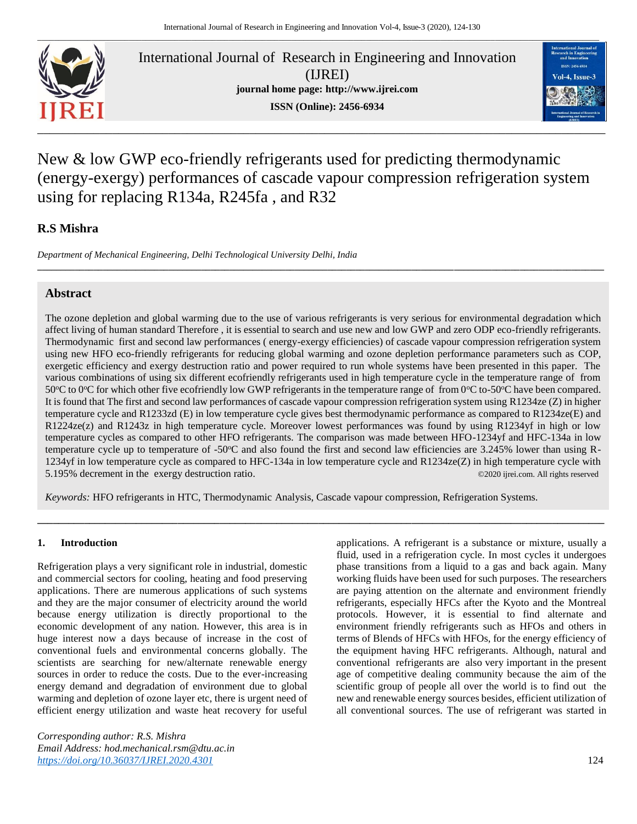

International Journal of Research in Engineering and Innovation (IJREI) **journal home page: [http://www.ijrei.com](http://www.ijrei.com/) ISSN (Online): 2456-6934**



# New & low GWP eco-friendly refrigerants used for predicting thermodynamic (energy-exergy) performances of cascade vapour compression refrigeration system using for replacing R134a, R245fa , and R32

**\_\_\_\_\_\_\_\_\_\_\_\_\_\_\_\_\_\_\_\_\_\_\_\_\_\_\_\_\_\_\_\_\_\_\_\_\_\_\_\_\_\_\_\_\_\_\_\_\_\_\_\_\_\_\_\_\_\_\_\_\_\_\_\_\_\_\_\_\_\_\_\_\_\_\_\_\_\_\_\_\_\_\_\_\_\_\_\_\_\_\_\_\_\_\_\_\_\_\_\_\_\_\_\_\_\_\_\_\_\_\_\_\_\_\_\_\_\_\_\_\_**

## **R.S Mishra**

*Department of Mechanical Engineering, Delhi Technological University Delhi, India*

## **Abstract**

The ozone depletion and global warming due to the use of various refrigerants is very serious for environmental degradation which affect living of human standard Therefore , it is essential to search and use new and low GWP and zero ODP eco-friendly refrigerants. Thermodynamic first and second law performances ( energy-exergy efficiencies) of cascade vapour compression refrigeration system using new HFO eco-friendly refrigerants for reducing global warming and ozone depletion performance parameters such as COP, exergetic efficiency and exergy destruction ratio and power required to run whole systems have been presented in this paper. The various combinations of using six different ecofriendly refrigerants used in high temperature cycle in the temperature range of from 50 $^{\circ}$ C to 0 $^{\circ}$ C for which other five ecofriendly low GWP refrigerants in the temperature range of from 0 $^{\circ}$ C to-50 $^{\circ}$ C have been compared. It is found that The first and second law performances of cascade vapour compression refrigeration system using R1234ze (Z) in higher temperature cycle and R1233zd (E) in low temperature cycle gives best thermodynamic performance as compared to R1234ze(E) and R1224ze(z) and R1243z in high temperature cycle. Moreover lowest performances was found by using R1234yf in high or low temperature cycles as compared to other HFO refrigerants. The comparison was made between HFO-1234yf and HFC-134a in low temperature cycle up to temperature of -50<sup>o</sup>C and also found the first and second law efficiencies are 3.245% lower than using R-1234yf in low temperature cycle as compared to HFC-134a in low temperature cycle and R1234ze(Z) in high temperature cycle with 5.195% decrement in the exergy destruction ratio. ©2020 ijrei.com. All rights reserved

**\_\_\_\_\_\_\_\_\_\_\_\_\_\_\_\_\_\_\_\_\_\_\_\_\_\_\_\_\_\_\_\_\_\_\_\_\_\_\_\_\_\_\_\_\_\_\_\_\_\_\_\_\_\_\_\_\_\_\_\_\_\_\_\_\_\_\_\_\_\_\_\_\_\_\_\_\_\_\_\_\_\_\_\_\_\_\_\_\_\_\_\_\_\_\_\_\_\_\_\_\_\_\_\_\_\_\_\_\_**

*Keywords:* HFO refrigerants in HTC, Thermodynamic Analysis, Cascade vapour compression, Refrigeration Systems.

#### **1. Introduction**

Refrigeration plays a very significant role in industrial, domestic and commercial sectors for cooling, heating and food preserving applications. There are numerous applications of such systems and they are the major consumer of electricity around the world because energy utilization is directly proportional to the economic development of any nation. However, this area is in huge interest now a days because of increase in the cost of conventional fuels and environmental concerns globally. The scientists are searching for new/alternate renewable energy sources in order to reduce the costs. Due to the ever-increasing energy demand and degradation of environment due to global warming and depletion of ozone layer etc, there is urgent need of efficient energy utilization and waste heat recovery for useful

*Corresponding author: R.S. Mishra Email Address: hod.mechanical.rsm@dtu.ac.in [https://doi.org/10.36037/IJREI.2020.4301](https://doi.org/10.36037/IJREI.2020.430)* 124

applications. A refrigerant is a substance or mixture, usually a fluid, used in a refrigeration cycle. In most cycles it undergoes phase transitions from a liquid to a gas and back again. Many working fluids have been used for such purposes. The researchers are paying attention on the alternate and environment friendly refrigerants, especially HFCs after the Kyoto and the Montreal protocols. However, it is essential to find alternate and environment friendly refrigerants such as HFOs and others in terms of Blends of HFCs with HFOs, for the energy efficiency of the equipment having HFC refrigerants. Although, natural and conventional refrigerants are also very important in the present age of competitive dealing community because the aim of the scientific group of people all over the world is to find out the new and renewable energy sources besides, efficient utilization of all conventional sources. The use of refrigerant was started in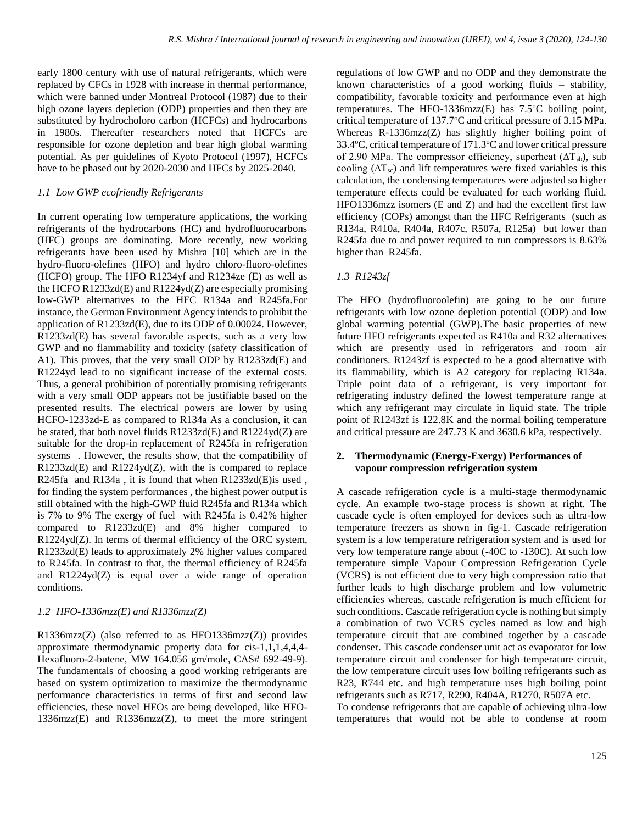early 1800 century with use of natural refrigerants, which were replaced by CFCs in 1928 with increase in thermal performance, which were banned under Montreal Protocol (1987) due to their high ozone layers depletion (ODP) properties and then they are substituted by hydrocholoro carbon (HCFCs) and hydrocarbons in 1980s. Thereafter researchers noted that HCFCs are responsible for ozone depletion and bear high global warming potential. As per guidelines of Kyoto Protocol (1997), HCFCs have to be phased out by 2020-2030 and HFCs by 2025-2040.

## *1.1 Low GWP ecofriendly Refrigerants*

In current operating low temperature applications, the working refrigerants of the hydrocarbons (HC) and hydrofluorocarbons (HFC) groups are dominating. More recently, new working refrigerants have been used by Mishra [10] which are in the hydro-fluoro-olefines (HFO) and hydro chloro-fluoro-olefines (HCFO) group. The HFO R1234yf and R1234ze (E) as well as the HCFO R1233zd(E) and R1224yd(Z) are especially promising low-GWP alternatives to the HFC R134a and R245fa.For instance, the German Environment Agency intends to prohibit the application of R1233zd(E), due to its ODP of 0.00024. However, R1233zd(E) has several favorable aspects, such as a very low GWP and no flammability and toxicity (safety classification of A1). This proves, that the very small ODP by R1233zd(E) and R1224yd lead to no significant increase of the external costs. Thus, a general prohibition of potentially promising refrigerants with a very small ODP appears not be justifiable based on the presented results. The electrical powers are lower by using HCFO-1233zd-E as compared to R134a As a conclusion, it can be stated, that both novel fluids R1233zd(E) and R1224yd(Z) are suitable for the drop-in replacement of R245fa in refrigeration systems . However, the results show, that the compatibility of R1233zd(E) and R1224yd(Z), with the is compared to replace R245fa and R134a , it is found that when R1233zd(E)is used , for finding the system performances , the highest power output is still obtained with the high-GWP fluid R245fa and R134a which is 7% to 9% The exergy of fuel with R245fa is 0.42% higher compared to R1233zd(E) and 8% higher compared to R1224yd(Z). In terms of thermal efficiency of the ORC system, R1233zd(E) leads to approximately 2% higher values compared to R245fa. In contrast to that, the thermal efficiency of R245fa and R1224yd(Z) is equal over a wide range of operation conditions.

## *1.2 HFO-1336mzz(E) and R1336mzz(Z)*

R1336mzz(Z) (also referred to as HFO1336mzz(Z)) provides approximate thermodynamic property data for cis-1,1,1,4,4,4- Hexafluoro-2-butene, MW 164.056 gm/mole, CAS# 692-49-9). The fundamentals of choosing a good working refrigerants are based on system optimization to maximize the thermodynamic performance characteristics in terms of first and second law efficiencies, these novel HFOs are being developed, like HFO-1336mzz(E) and R1336mzz(Z), to meet the more stringent regulations of low GWP and no ODP and they demonstrate the known characteristics of a good working fluids – stability, compatibility, favorable toxicity and performance even at high temperatures. The HFO-1336mzz(E) has  $7.5^{\circ}$ C boiling point, critical temperature of 137.7°C and critical pressure of 3.15 MPa. Whereas  $R-1336mzz(Z)$  has slightly higher boiling point of 33.4 $\degree$ C, critical temperature of 171.3 $\degree$ C and lower critical pressure of 2.90 MPa. The compressor efficiency, superheat  $(\Delta T_{sh})$ , sub cooling  $(\Delta T_{sc})$  and lift temperatures were fixed variables is this calculation, the condensing temperatures were adjusted so higher temperature effects could be evaluated for each working fluid. HFO1336mzz isomers (E and Z) and had the excellent first law efficiency (COPs) amongst than the HFC Refrigerants (such as R134a, R410a, R404a, R407c, R507a, R125a) but lower than R245fa due to and power required to run compressors is 8.63% higher than R245fa.

## *1.3 R1243zf*

The HFO (hydrofluoroolefin) are going to be our future refrigerants with low ozone depletion potential (ODP) and low global warming potential (GWP).The basic properties of new future HFO refrigerants expected as R410a and R32 alternatives which are presently used in refrigerators and room air conditioners. R1243zf is expected to be a good alternative with its flammability, which is A2 category for replacing R134a. Triple point data of a refrigerant, is very important for refrigerating industry defined the lowest temperature range at which any refrigerant may circulate in liquid state. The triple point of R1243zf is 122.8K and the normal boiling temperature and critical pressure are 247.73 K and 3630.6 kPa, respectively.

### **2. Thermodynamic (Energy-Exergy) Performances of vapour compression refrigeration system**

A cascade refrigeration cycle is a multi-stage [thermodynamic](https://en.wikipedia.org/wiki/Thermodynamic_cycle)  [cycle.](https://en.wikipedia.org/wiki/Thermodynamic_cycle) An example two-stage process is shown at right. The cascade cycle is often employed for devices such as ultra-low temperature [freezers](https://en.wikipedia.org/wiki/ULT_freezer) as shown in fig-1. Cascade refrigeration system is a low temperature refrigeration system and is used for very low temperature range about (-40C to -130C). At such low temperature simple Vapour Compression Refrigeration Cycle (VCRS) is not efficient due to very high compression ratio that further leads to high discharge problem and low volumetric efficiencies whereas, cascade refrigeration is much efficient for such conditions. Cascade refrigeration cycle is nothing but simply a combination of two VCRS cycles named as low and high temperature circuit that are combined together by a cascade condenser. This cascade condenser unit act as evaporator for low temperature circuit and condenser for high temperature circuit, the low temperature circuit uses low boiling refrigerants such as R23, R744 etc. and high temperature uses high boiling point refrigerants such as R717, R290, R404A, R1270, R507A etc. To condense refrigerants that are capable of achieving ultra-low

temperatures that would not be able to condense at room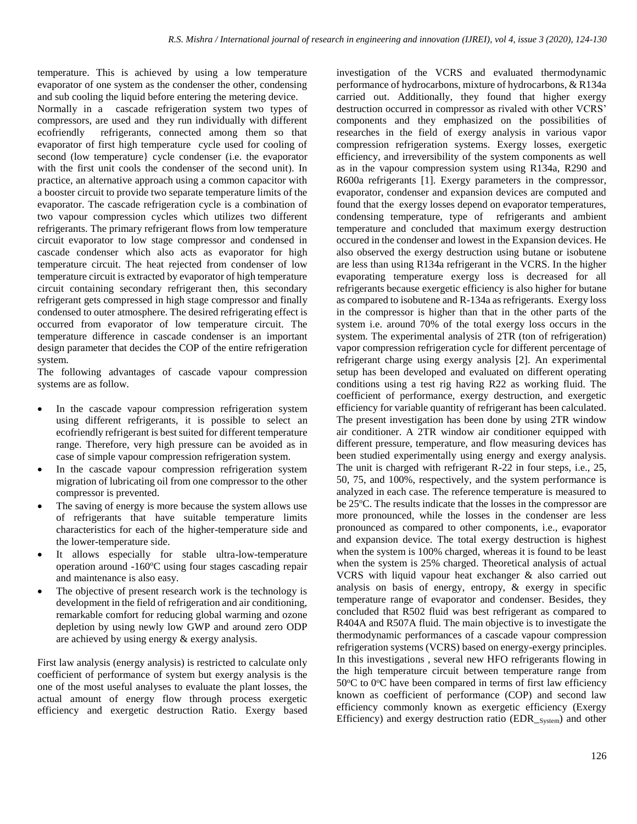temperature. This is achieved by using a low temperature evaporator of one system as the condenser the other, condensing and sub cooling the liquid before entering the metering device.

Normally in a cascade refrigeration system two types of compressors, are used and they run individually with different ecofriendly refrigerants, connected among them so that evaporator of first high temperature cycle used for cooling of second (low temperature} cycle condenser (i.e. the evaporator with the first unit cools the condenser of the second unit). In practice, an alternative approach using a common capacitor with a booster circuit to provide two separate temperature limits of the evaporator. The cascade refrigeration cycle is a combination of two vapour compression cycles which utilizes two different refrigerants. The primary refrigerant flows from low temperature circuit evaporator to low stage compressor and condensed in cascade condenser which also acts as evaporator for high temperature circuit. The heat rejected from condenser of low temperature circuit is extracted by evaporator of high temperature circuit containing secondary refrigerant then, this secondary refrigerant gets compressed in high stage compressor and finally condensed to outer atmosphere. The desired refrigerating effect is occurred from evaporator of low temperature circuit. The temperature difference in cascade condenser is an important design parameter that decides the COP of the entire refrigeration system.

The following advantages of cascade vapour compression systems are as follow.

- In the cascade vapour compression refrigeration system using different refrigerants, it is possible to select an ecofriendly refrigerant is best suited for different temperature range. Therefore, very high pressure can be avoided as in case of simple vapour compression refrigeration system.
- In the cascade vapour compression refrigeration system migration of lubricating oil from one compressor to the other compressor is prevented.
- The saving of energy is more because the system allows use of refrigerants that have suitable temperature limits characteristics for each of the higher-temperature side and the lower-temperature side.
- It allows especially for stable ultra-low-temperature operation around  $-160^{\circ}\text{C}$  using four stages cascading repair and maintenance is also easy.
- The objective of present research work is the technology is development in the field of refrigeration and air conditioning, remarkable comfort for reducing global warming and ozone depletion by using newly low GWP and around zero ODP are achieved by using energy & exergy analysis.

First law analysis (energy analysis) is restricted to calculate only coefficient of performance of system but exergy analysis is the one of the most useful analyses to evaluate the plant losses, the actual amount of energy flow through process exergetic efficiency and exergetic destruction Ratio. Exergy based investigation of the VCRS and evaluated thermodynamic performance of hydrocarbons, mixture of hydrocarbons, & R134a carried out. Additionally, they found that higher exergy destruction occurred in compressor as rivaled with other VCRS' components and they emphasized on the possibilities of researches in the field of exergy analysis in various vapor compression refrigeration systems. Exergy losses, exergetic efficiency, and irreversibility of the system components as well as in the vapour compression system using R134a, R290 and R600a refrigerants [1]. Exergy parameters in the compressor, evaporator, condenser and expansion devices are computed and found that the exergy losses depend on evaporator temperatures, condensing temperature, type of refrigerants and ambient temperature and concluded that maximum exergy destruction occured in the condenser and lowest in the Expansion devices. He also observed the exergy destruction using butane or isobutene are less than using R134a refrigerant in the VCRS. In the higher evaporating temperature exergy loss is decreased for all refrigerants because exergetic efficiency is also higher for butane as compared to isobutene and R-134a as refrigerants. Exergy loss in the compressor is higher than that in the other parts of the system i.e. around 70% of the total exergy loss occurs in the system. The experimental analysis of 2TR (ton of refrigeration) vapor compression refrigeration cycle for different percentage of refrigerant charge using exergy analysis [2]. An experimental setup has been developed and evaluated on different operating conditions using a test rig having R22 as working fluid. The coefficient of performance, exergy destruction, and exergetic efficiency for variable quantity of refrigerant has been calculated. The present investigation has been done by using 2TR window air conditioner. A 2TR window air conditioner equipped with different pressure, temperature, and flow measuring devices has been studied experimentally using energy and exergy analysis. The unit is charged with refrigerant R-22 in four steps, i.e., 25, 50, 75, and 100%, respectively, and the system performance is analyzed in each case. The reference temperature is measured to be 25°C. The results indicate that the losses in the compressor are more pronounced, while the losses in the condenser are less pronounced as compared to other components, i.e., evaporator and expansion device. The total exergy destruction is highest when the system is 100% charged, whereas it is found to be least when the system is 25% charged. Theoretical analysis of actual VCRS with liquid vapour heat exchanger & also carried out analysis on basis of energy, entropy, & exergy in specific temperature range of evaporator and condenser. Besides, they concluded that R502 fluid was best refrigerant as compared to R404A and R507A fluid. The main objective is to investigate the thermodynamic performances of a cascade vapour compression refrigeration systems (VCRS) based on energy-exergy principles. In this investigations , several new HFO refrigerants flowing in the high temperature circuit between temperature range from  $50^{\circ}$ C to  $0^{\circ}$ C have been compared in terms of first law efficiency known as coefficient of performance (COP) and second law efficiency commonly known as exergetic efficiency (Exergy Efficiency) and exergy destruction ratio (EDR\_System) and other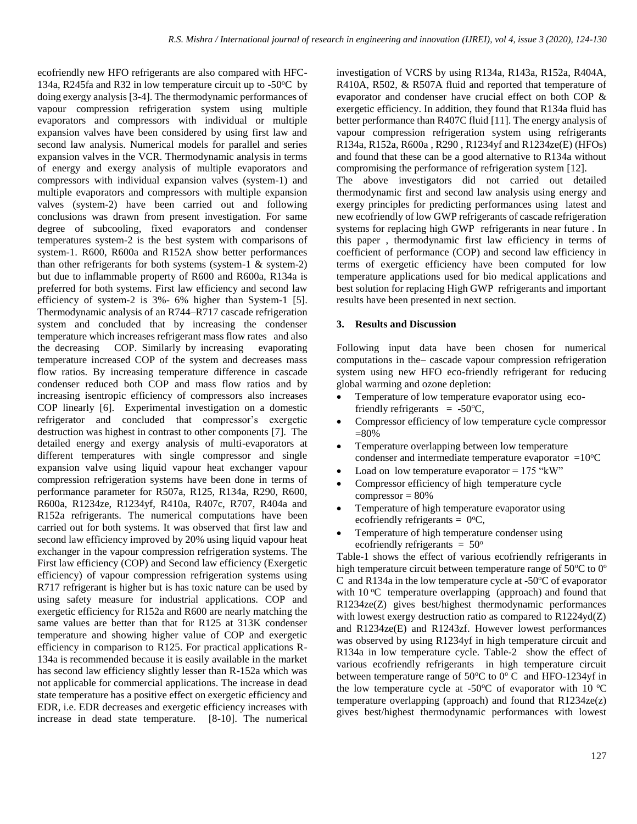ecofriendly new HFO refrigerants are also compared with HFC-134a, R245fa and R32 in low temperature circuit up to  $-50^{\circ}$ C by doing exergy analysis [3-4]. The thermodynamic performances of vapour compression refrigeration system using multiple evaporators and compressors with individual or multiple expansion valves have been considered by using first law and second law analysis. Numerical models for parallel and series expansion valves in the VCR. Thermodynamic analysis in terms of energy and exergy analysis of multiple evaporators and compressors with individual expansion valves (system-1) and multiple evaporators and compressors with multiple expansion valves (system-2) have been carried out and following conclusions was drawn from present investigation. For same degree of subcooling, fixed evaporators and condenser temperatures system-2 is the best system with comparisons of system-1. R600, R600a and R152A show better performances than other refrigerants for both systems (system-1  $\&$  system-2) but due to inflammable property of R600 and R600a, R134a is preferred for both systems. First law efficiency and second law efficiency of system-2 is 3%- 6% higher than System-1 [5]. Thermodynamic analysis of an R744–R717 cascade refrigeration system and concluded that by increasing the condenser temperature which increases refrigerant mass flow rates and also the decreasing COP. Similarly by increasing evaporating temperature increased COP of the system and decreases mass flow ratios. By increasing temperature difference in cascade condenser reduced both COP and mass flow ratios and by increasing isentropic efficiency of compressors also increases COP linearly [6]. Experimental investigation on a domestic refrigerator and concluded that compressor's exergetic destruction was highest in contrast to other components [7]. The detailed energy and exergy analysis of multi-evaporators at different temperatures with single compressor and single expansion valve using liquid vapour heat exchanger vapour compression refrigeration systems have been done in terms of performance parameter for R507a, R125, R134a, R290, R600, R600a, R1234ze, R1234yf, R410a, R407c, R707, R404a and R152a refrigerants. The numerical computations have been carried out for both systems. It was observed that first law and second law efficiency improved by 20% using liquid vapour heat exchanger in the vapour compression refrigeration systems. The First law efficiency (COP) and Second law efficiency (Exergetic efficiency) of vapour compression refrigeration systems using R717 refrigerant is higher but is has toxic nature can be used by using safety measure for industrial applications. COP and exergetic efficiency for R152a and R600 are nearly matching the same values are better than that for R125 at 313K condenser temperature and showing higher value of COP and exergetic efficiency in comparison to R125. For practical applications R-134a is recommended because it is easily available in the market has second law efficiency slightly lesser than R-152a which was not applicable for commercial applications. The increase in dead state temperature has a positive effect on exergetic efficiency and EDR, i.e. EDR decreases and exergetic efficiency increases with increase in dead state temperature. [8-10]. The numerical

investigation of VCRS by using R134a, R143a, R152a, R404A, R410A, R502, & R507A fluid and reported that temperature of evaporator and condenser have crucial effect on both COP & exergetic efficiency. In addition, they found that R134a fluid has better performance than R407C fluid [11]. The energy analysis of vapour compression refrigeration system using refrigerants R134a, R152a, R600a , R290 , R1234yf and R1234ze(E) (HFOs) and found that these can be a good alternative to R134a without compromising the performance of refrigeration system [12].

The above investigators did not carried out detailed thermodynamic first and second law analysis using energy and exergy principles for predicting performances using latest and new ecofriendly of low GWP refrigerants of cascade refrigeration systems for replacing high GWP refrigerants in near future . In this paper , thermodynamic first law efficiency in terms of coefficient of performance (COP) and second law efficiency in terms of exergetic efficiency have been computed for low temperature applications used for bio medical applications and best solution for replacing High GWP refrigerants and important results have been presented in next section.

#### **3. Results and Discussion**

Following input data have been chosen for numerical computations in the– cascade vapour compression refrigeration system using new HFO eco-friendly refrigerant for reducing global warming and ozone depletion:

- Temperature of low temperature evaporator using ecofriendly refrigerants  $= -50$ <sup>o</sup>C,
- Compressor efficiency of low temperature cycle compressor =80%
- Temperature overlapping between low temperature condenser and intermediate temperature evaporator  $=10^{\circ}$ C
- Load on low temperature evaporator  $= 175$  "kW"
- Compressor efficiency of high temperature cycle  $compressor = 80%$
- Temperature of high temperature evaporator using ecofriendly refrigerants =  $0^{\circ}C$ ,
- Temperature of high temperature condenser using ecofriendly refrigerants  $= 50^{\circ}$

Table-1 shows the effect of various ecofriendly refrigerants in high temperature circuit between temperature range of  $50^{\circ}$ C to  $0^{\circ}$ C and R134a in the low temperature cycle at -50 $\degree$ C of evaporator with  $10^{\circ}$ C temperature overlapping (approach) and found that R1234ze(Z) gives best/highest thermodynamic performances with lowest exergy destruction ratio as compared to  $R1224yd(Z)$ and R1234ze(E) and R1243zf. However lowest performances was observed by using R1234yf in high temperature circuit and R134a in low temperature cycle. Table-2 show the effect of various ecofriendly refrigerants in high temperature circuit between temperature range of  $50^{\circ}$ C to  $0^{\circ}$  C and HFO-1234yf in the low temperature cycle at -50 $\degree$ C of evaporator with 10  $\degree$ C temperature overlapping (approach) and found that  $R1234ze(z)$ gives best/highest thermodynamic performances with lowest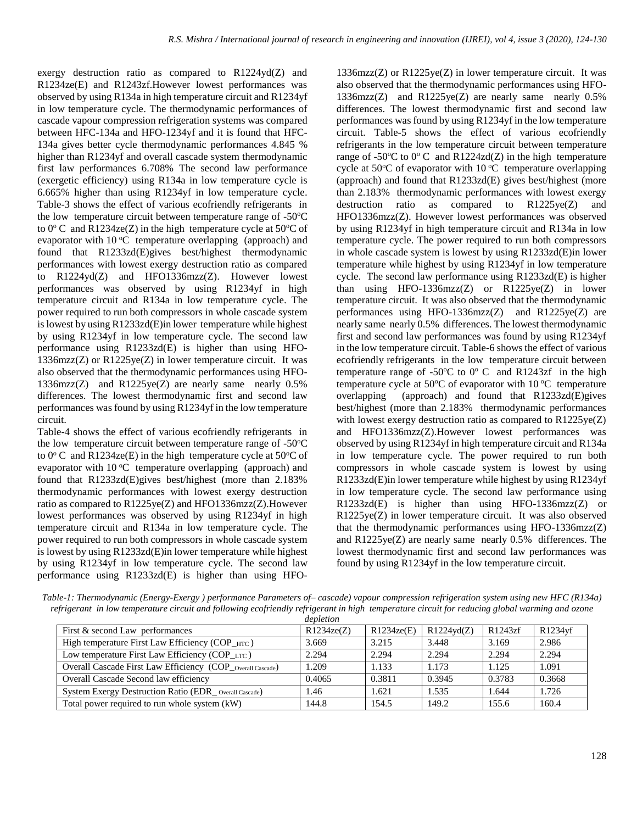exergy destruction ratio as compared to R1224yd(Z) and R1234ze(E) and R1243zf.However lowest performances was observed by using R134a in high temperature circuit and R1234yf in low temperature cycle. The thermodynamic performances of cascade vapour compression refrigeration systems was compared between HFC-134a and HFO-1234yf and it is found that HFC-134a gives better cycle thermodynamic performances 4.845 % higher than R1234yf and overall cascade system thermodynamic first law performances 6.708% The second law performance (exergetic efficiency) using R134a in low temperature cycle is 6.665% higher than using R1234yf in low temperature cycle. Table-3 shows the effect of various ecofriendly refrigerants in the low temperature circuit between temperature range of  $-50^{\circ}$ C to  $0^{\circ}$  C and R1234ze(Z) in the high temperature cycle at 50 $^{\circ}$ C of evaporator with 10 °C temperature overlapping (approach) and found that R1233zd(E)gives best/highest thermodynamic performances with lowest exergy destruction ratio as compared to R1224yd(Z) and HFO1336mzz(Z). However lowest performances was observed by using R1234yf in high temperature circuit and R134a in low temperature cycle. The power required to run both compressors in whole cascade system is lowest by using R1233zd(E)in lower temperature while highest by using R1234yf in low temperature cycle. The second law performance using R1233zd(E) is higher than using HFO-1336mzz(Z) or R1225ye(Z) in lower temperature circuit. It was also observed that the thermodynamic performances using HFO-1336mzz(Z) and R1225ye(Z) are nearly same nearly 0.5% differences. The lowest thermodynamic first and second law performances was found by using R1234yf in the low temperature circuit.

Table-4 shows the effect of various ecofriendly refrigerants in the low temperature circuit between temperature range of  $-50^{\circ}$ C to  $0^{\circ}$  C and R1234ze(E) in the high temperature cycle at 50 $^{\circ}$ C of evaporator with  $10^{\circ}$ C temperature overlapping (approach) and found that R1233zd(E)gives best/highest (more than 2.183% thermodynamic performances with lowest exergy destruction ratio as compared to R1225ye(Z) and HFO1336mzz(Z).However lowest performances was observed by using R1234yf in high temperature circuit and R134a in low temperature cycle. The power required to run both compressors in whole cascade system is lowest by using R1233zd(E)in lower temperature while highest by using R1234yf in low temperature cycle. The second law performance using R1233zd(E) is higher than using HFO-

1336mzz(Z) or R1225ye(Z) in lower temperature circuit. It was also observed that the thermodynamic performances using HFO-1336mzz(Z) and  $R1225ye(Z)$  are nearly same nearly 0.5% differences. The lowest thermodynamic first and second law performances was found by using R1234yf in the low temperature circuit. Table-5 shows the effect of various ecofriendly refrigerants in the low temperature circuit between temperature range of -50 $\degree$ C to  $0\degree$ C and R1224zd(Z) in the high temperature cycle at 50 $\degree$ C of evaporator with 10 $\degree$ C temperature overlapping (approach) and found that R1233zd(E) gives best/highest (more than 2.183% thermodynamic performances with lowest exergy destruction ratio as compared to R1225ye(Z) and HFO1336mzz(Z). However lowest performances was observed by using R1234yf in high temperature circuit and R134a in low temperature cycle. The power required to run both compressors in whole cascade system is lowest by using R1233zd(E)in lower temperature while highest by using R1234yf in low temperature cycle. The second law performance using R1233zd(E) is higher than using HFO-1336mzz(Z) or R1225ye(Z) in lower temperature circuit. It was also observed that the thermodynamic performances using HFO-1336mzz(Z) and R1225ye(Z) are nearly same nearly 0.5% differences. The lowest thermodynamic first and second law performances was found by using R1234yf in the low temperature circuit. Table-6 shows the effect of various ecofriendly refrigerants in the low temperature circuit between temperature range of -50 $\degree$ C to  $0\degree$ C and R1243zf in the high temperature cycle at  $50^{\circ}$ C of evaporator with  $10^{\circ}$ C temperature overlapping (approach) and found that R1233zd(E)gives best/highest (more than 2.183% thermodynamic performances with lowest exergy destruction ratio as compared to  $R1225ye(Z)$ and HFO1336mzz(Z).However lowest performances was observed by using R1234yf in high temperature circuit and R134a in low temperature cycle. The power required to run both compressors in whole cascade system is lowest by using R1233zd(E)in lower temperature while highest by using R1234yf in low temperature cycle. The second law performance using R1233zd(E) is higher than using HFO-1336mzz(Z) or R1225ye(Z) in lower temperature circuit. It was also observed that the thermodynamic performances using HFO-1336mzz(Z) and R1225ye(Z) are nearly same nearly 0.5% differences. The lowest thermodynamic first and second law performances was found by using R1234yf in the low temperature circuit.

*Table-1: Thermodynamic (Energy-Exergy ) performance Parameters of– cascade) vapour compression refrigeration system using new HFC (R134a) refrigerant in low temperature circuit and following ecofriendly refrigerant in high temperature circuit for reducing global warming and ozone depletion*

|                                                             | aepienon   |            |                     |         |         |
|-------------------------------------------------------------|------------|------------|---------------------|---------|---------|
| First & second Law performances                             | R1234ze(Z) | R1234ze(E) | $R1224\text{vd}(Z)$ | R1243zf | R1234yf |
| High temperature First Law Efficiency (COP_HTC)             | 3.669      | 3.215      | 3.448               | 3.169   | 2.986   |
| Low temperature First Law Efficiency (COP $_{\text{LTC}}$ ) | 2.294      | 2.294      | 2.294               | 2.294   | 2.294   |
| Overall Cascade First Law Efficiency (COP_Overall Cascade)  | 1.209      | 1.133      | 1.173               | 1.125   | 1.091   |
| Overall Cascade Second law efficiency                       | 0.4065     | 0.3811     | 0.3945              | 0.3783  | 0.3668  |
| System Exergy Destruction Ratio (EDR_Overall Cascade)       | 1.46       | 1.621      | 1.535               | 1.644   | 1.726   |
| Total power required to run whole system (kW)               | 144.8      | 154.5      | 149.2               | 155.6   | 160.4   |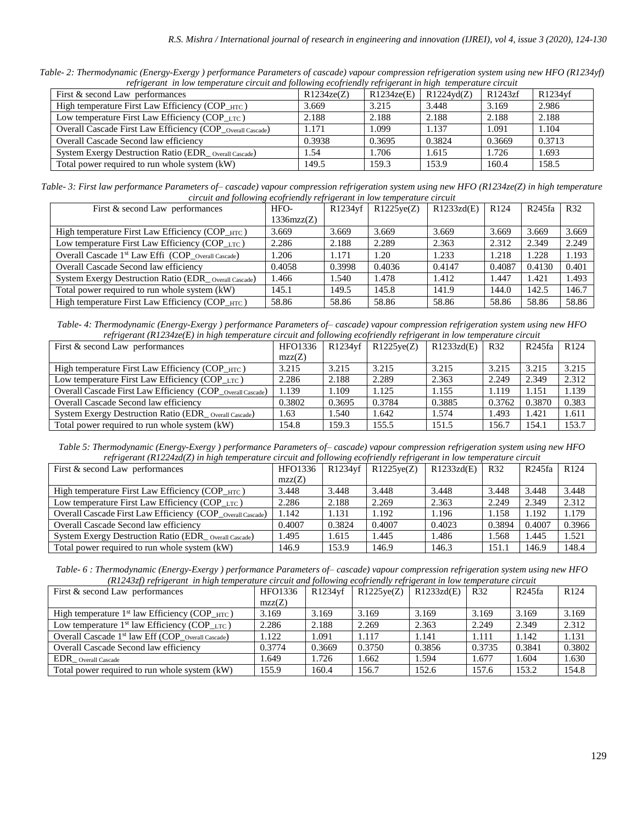*Table- 2: Thermodynamic (Energy-Exergy ) performance Parameters of cascade) vapour compression refrigeration system using new HFO (R1234yf) refrigerant in low temperature circuit and following ecofriendly refrigerant in high temperature circuit*

| First & second Law performances                            | 1.11<br>R1234ze(Z) | $-1.1$<br>R1234ze(E) | $R1224\text{yd}(Z)$ | R1243zf | R1234yf |
|------------------------------------------------------------|--------------------|----------------------|---------------------|---------|---------|
| High temperature First Law Efficiency (COP_HTC)            | 3.669              | 3.215                | 3.448               | 3.169   | 2.986   |
| Low temperature First Law Efficiency (COP_LTC)             | 2.188              | 2.188                | 2.188               | 2.188   | 2.188   |
| Overall Cascade First Law Efficiency (COP_Overall Cascade) | 1.171              | 1.099                | 1.137               | 1.091   | 1.104   |
| Overall Cascade Second law efficiency                      | 0.3938             | 0.3695               | 0.3824              | 0.3669  | 0.3713  |
| System Exergy Destruction Ratio (EDR _ Overall Cascade)    | 1.54               | 1.706                | 1.615               | 1.726   | 1.693   |
| Total power required to run whole system (kW)              | 149.5              | 159.3                | 153.9               | 160.4   | 158.5   |

*Table- 3: First law performance Parameters of– cascade) vapour compression refrigeration system using new HFO (R1234ze(Z) in high temperature circuit and following ecofriendly refrigerant in low temperature circuit* 

| First & second Law performances                                            | HFO-       | R1234vf | R1225ve(Z) | R1233zd(E) | R <sub>124</sub> | R245fa | R32   |
|----------------------------------------------------------------------------|------------|---------|------------|------------|------------------|--------|-------|
|                                                                            | 1336mzz(Z) |         |            |            |                  |        |       |
| High temperature First Law Efficiency (COP HTC)                            | 3.669      | 3.669   | 3.669      | 3.669      | 3.669            | 3.669  | 3.669 |
| Low temperature First Law Efficiency (COP_LTC)                             | 2.286      | 2.188   | 2.289      | 2.363      | 2.312            | 2.349  | 2.249 |
| Overall Cascade 1 <sup>st</sup> Law Effi (COP <sub>Overall Cascade</sub> ) | 1.206      | 1.171   | 1.20       | 1.233      | 1.218            | 1.228  | 1.193 |
| Overall Cascade Second law efficiency                                      | 0.4058     | 0.3998  | 0.4036     | 0.4147     | 0.4087           | 0.4130 | 0.401 |
| System Exergy Destruction Ratio (EDR Overall Cascade)                      | 1.466      | 1.540   | 1.478      | 1.412      | 1.447            | 1.421  | 1.493 |
| Total power required to run whole system (kW)                              | 145.1      | 149.5   | 145.8      | 141.9      | 144.0            | 142.5  | 146.7 |
| High temperature First Law Efficiency (COP HTC)                            | 58.86      | 58.86   | 58.86      | 58.86      | 58.86            | 58.86  | 58.86 |

*Table- 4: Thermodynamic (Energy-Exergy ) performance Parameters of– cascade) vapour compression refrigeration system using new HFO refrigerant (R1234ze(E) in high temperature circuit and following ecofriendly refrigerant in low temperature circuit* 

| First & second Law performances                              | HFO1336 | R1234vf | R1225ve(Z) | R1233zd(E) | R32    | R245fa | R <sub>124</sub> |
|--------------------------------------------------------------|---------|---------|------------|------------|--------|--------|------------------|
|                                                              | mzz(Z)  |         |            |            |        |        |                  |
| High temperature First Law Efficiency (COP $_{\text{HTC}}$ ) | 3.215   | 3.215   | 3.215      | 3.215      | 3.215  | 3.215  | 3.215            |
| Low temperature First Law Efficiency $(COP_{\text{LTC}})$    | 2.286   | 2.188   | 2.289      | 2.363      | 2.249  | 2.349  | 2.312            |
| Overall Cascade First Law Efficiency (COP_Overall Cascade)   | 1.139   | 1.109   | 1.125      | 1.155      | 1.119  | 1.151  | 1.139            |
| Overall Cascade Second law efficiency                        | 0.3802  | 0.3695  | 0.3784     | 0.3885     | 0.3762 | 0.3870 | 0.383            |
| System Exergy Destruction Ratio (EDR _ Overall Cascade)      | 1.63    | l.540   | 1.642      | 1.574      | 1.493  | 1.421  | 1.611            |
| Total power required to run whole system (kW)                | 154.8   | 159.3   | 155.5      | 151.5      | 156.7  | 154.1  | 153.7            |

*Table 5: Thermodynamic (Energy-Exergy ) performance Parameters of– cascade) vapour compression refrigeration system using new HFO refrigerant (R1224zd(Z) in high temperature circuit and following ecofriendly refrigerant in low temperature circuit*

| First & second Law performances                             | <b>HFO1336</b> | $R1234$ vf | R1225ve(Z) | R1233zd(E) | R32    | R245fa | R <sub>124</sub> |
|-------------------------------------------------------------|----------------|------------|------------|------------|--------|--------|------------------|
|                                                             | mzz(Z)         |            |            |            |        |        |                  |
| High temperature First Law Efficiency (COP_HTC)             | 3.448          | 3.448      | 3.448      | 3.448      | 3.448  | 3.448  | 3.448            |
| Low temperature First Law Efficiency (COP $_{\text{LTC}}$ ) | 2.286          | 2.188      | 2.269      | 2.363      | 2.249  | 2.349  | 2.312            |
| Overall Cascade First Law Efficiency (COP Overall Cascade)  | 1.142          | 1.131      | 1.192      | 1.196      | 1.158  | 1.192  | 1.179            |
| Overall Cascade Second law efficiency                       | 0.4007         | 0.3824     | 0.4007     | 0.4023     | 0.3894 | 0.4007 | 0.3966           |
| System Exergy Destruction Ratio (EDR_Overall Cascade)       | 1.495          | 1.615      | 1.445      | l.486      | 1.568  | 1.445  | 1.521            |
| Total power required to run whole system (kW)               | 146.9          | 153.9      | 146.9      | 146.3      | 151.1  | 146.9  | 148.4            |

*Table- 6 : Thermodynamic (Energy-Exergy ) performance Parameters of– cascade) vapour compression refrigeration system using new HFO (R1243zf) refrigerant in high temperature circuit and following ecofriendly refrigerant in low temperature circuit*

| $\mathcal{L}$                                                |         |         |            |            |        |        |                  |
|--------------------------------------------------------------|---------|---------|------------|------------|--------|--------|------------------|
| First & second Law performances                              | HFO1336 | R1234vf | R1225ye(Z) | R1233zd(E) | R32    | R245fa | R <sub>124</sub> |
|                                                              | mzz(Z)  |         |            |            |        |        |                  |
| High temperature $1st$ law Efficiency (COP $_{\text{HTC}}$ ) | 3.169   | 3.169   | 3.169      | 3.169      | 3.169  | 3.169  | 3.169            |
| Low temperature $1st$ law Efficiency (COP_LTC)               | 2.286   | 2.188   | 2.269      | 2.363      | 2.249  | 2.349  | 2.312            |
| Overall Cascade $1st$ law Eff (COP overall Cascade)          | 1.122   | 1.091   | 1.117      | 1.141      | 1.111  | 1.142  | 1.131            |
| Overall Cascade Second law efficiency                        | 0.3774  | 0.3669  | 0.3750     | 0.3856     | 0.3735 | 0.3841 | 0.3802           |
| EDR_Overall Cascade                                          | 1.649   | 1.726   | 1.662      | 1.594      | 1.677  | 1.604  | 1.630            |
| Total power required to run whole system (kW)                | 155.9   | 160.4   | 156.7      | 152.6      | 157.6  | 153.2  | 154.8            |
|                                                              |         |         |            |            |        |        |                  |